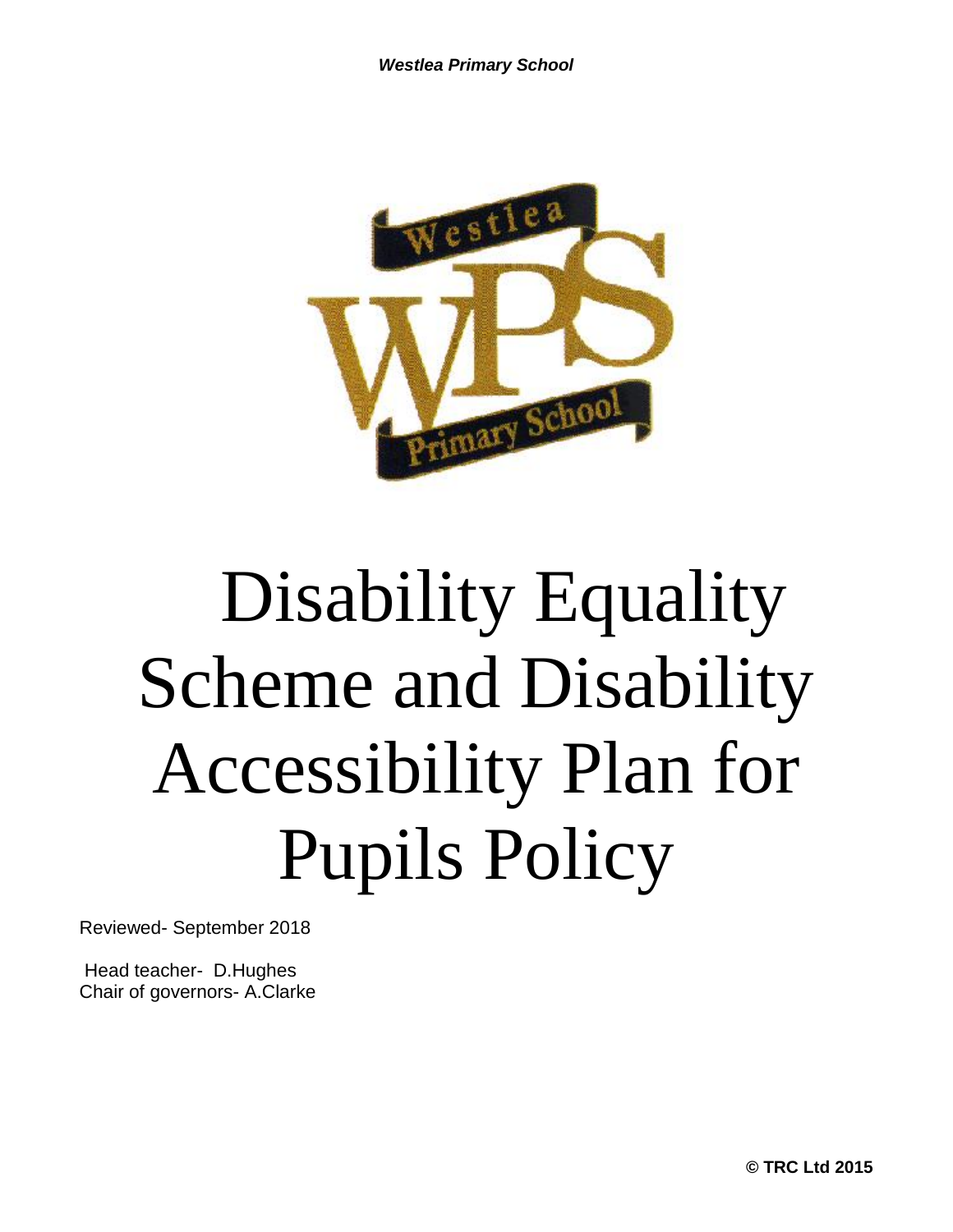

# Disability Equality Scheme and Disability Accessibility Plan for Pupils Policy

Reviewed- September 2018

Head teacher- D.Hughes Chair of governors- A.Clarke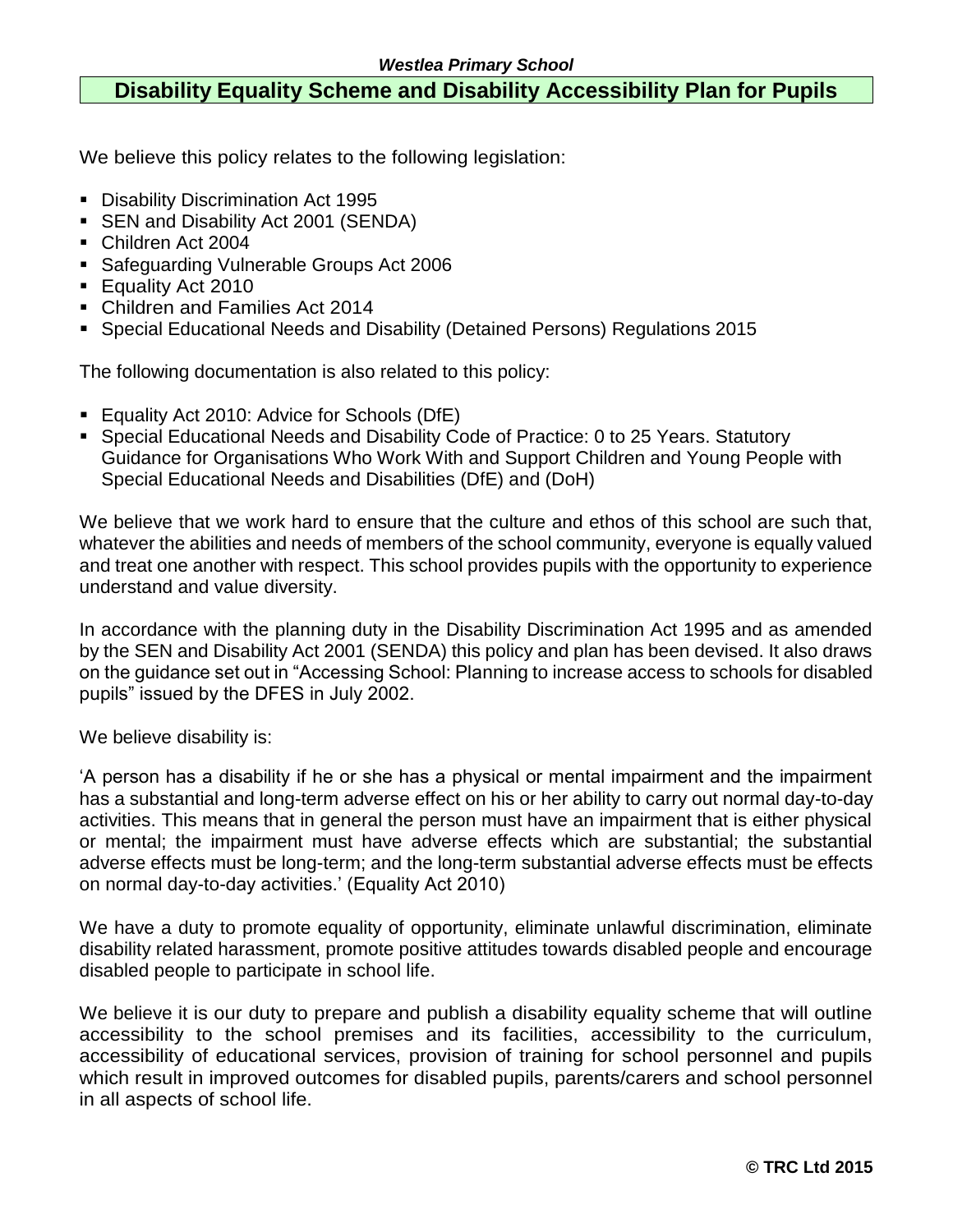## **Disability Equality Scheme and Disability Accessibility Plan for Pupils**

We believe this policy relates to the following legislation:

- **Disability Discrimination Act 1995**
- **SEN and Disability Act 2001 (SENDA)**
- Children Act 2004
- Safeguarding Vulnerable Groups Act 2006
- **Equality Act 2010**
- Children and Families Act 2014
- Special Educational Needs and Disability (Detained Persons) Regulations 2015

The following documentation is also related to this policy:

- Equality Act 2010: Advice for Schools (DfE)
- Special Educational Needs and Disability Code of Practice: 0 to 25 Years. Statutory Guidance for Organisations Who Work With and Support Children and Young People with Special Educational Needs and Disabilities (DfE) and (DoH)

We believe that we work hard to ensure that the culture and ethos of this school are such that, whatever the abilities and needs of members of the school community, everyone is equally valued and treat one another with respect. This school provides pupils with the opportunity to experience understand and value diversity.

In accordance with the planning duty in the Disability Discrimination Act 1995 and as amended by the SEN and Disability Act 2001 (SENDA) this policy and plan has been devised. It also draws on the guidance set out in "Accessing School: Planning to increase access to schools for disabled pupils" issued by the DFES in July 2002.

We believe disability is:

'A person has a disability if he or she has a physical or mental impairment and the impairment has a substantial and long-term adverse effect on his or her ability to carry out normal day-to-day activities. This means that in general the person must have an impairment that is either physical or mental; the impairment must have adverse effects which are substantial; the substantial adverse effects must be long-term; and the long-term substantial adverse effects must be effects on normal day-to-day activities.' (Equality Act 2010)

We have a duty to promote equality of opportunity, eliminate unlawful discrimination, eliminate disability related harassment, promote positive attitudes towards disabled people and encourage disabled people to participate in school life.

We believe it is our duty to prepare and publish a disability equality scheme that will outline accessibility to the school premises and its facilities, accessibility to the curriculum, accessibility of educational services, provision of training for school personnel and pupils which result in improved outcomes for disabled pupils, parents/carers and school personnel in all aspects of school life.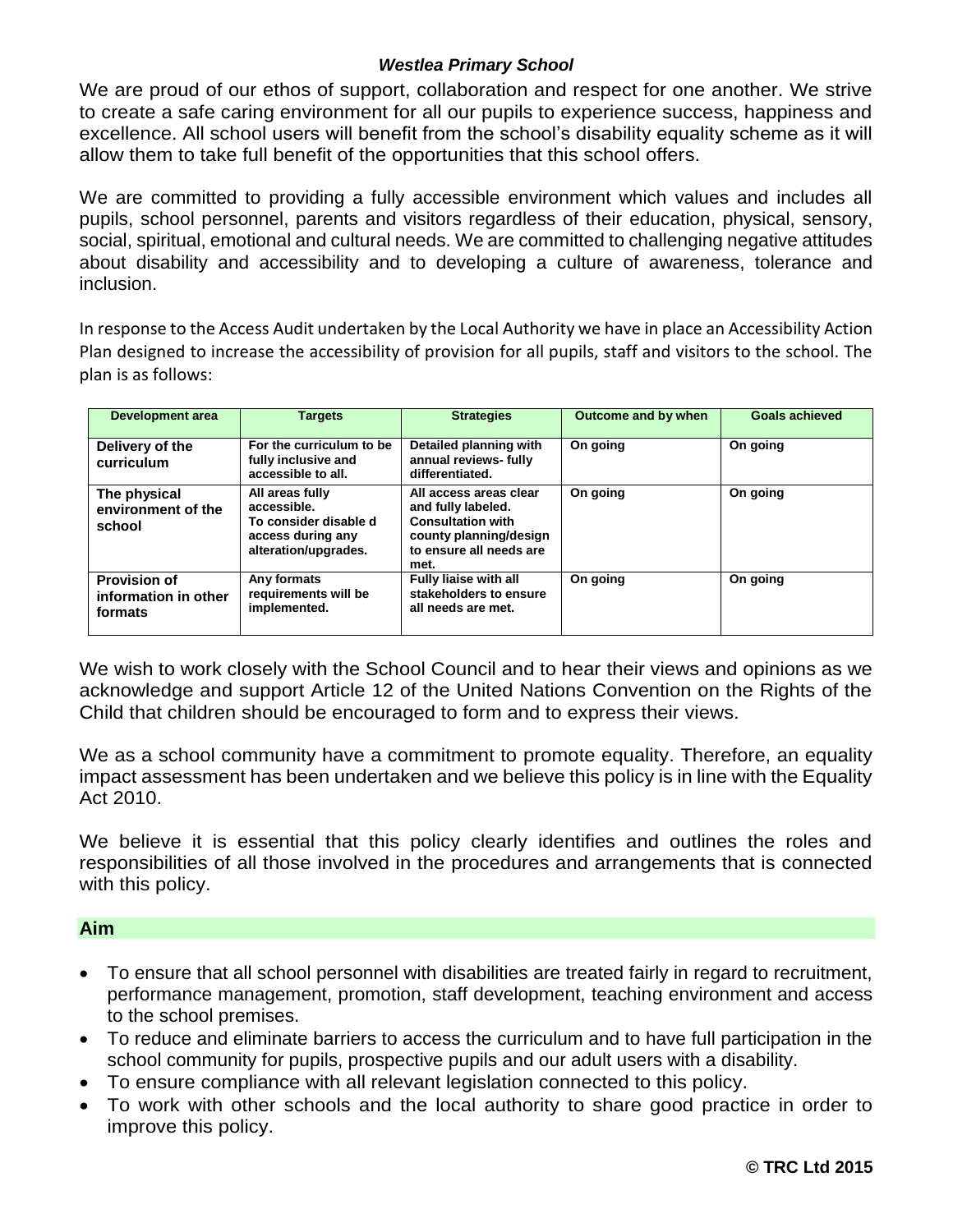We are proud of our ethos of support, collaboration and respect for one another. We strive to create a safe caring environment for all our pupils to experience success, happiness and excellence. All school users will benefit from the school's disability equality scheme as it will allow them to take full benefit of the opportunities that this school offers.

We are committed to providing a fully accessible environment which values and includes all pupils, school personnel, parents and visitors regardless of their education, physical, sensory, social, spiritual, emotional and cultural needs. We are committed to challenging negative attitudes about disability and accessibility and to developing a culture of awareness, tolerance and inclusion.

In response to the Access Audit undertaken by the Local Authority we have in place an Accessibility Action Plan designed to increase the accessibility of provision for all pupils, staff and visitors to the school. The plan is as follows:

| Development area                                       | <b>Targets</b>                                                                                       | <b>Strategies</b>                                                                                                                     | Outcome and by when | <b>Goals achieved</b> |
|--------------------------------------------------------|------------------------------------------------------------------------------------------------------|---------------------------------------------------------------------------------------------------------------------------------------|---------------------|-----------------------|
| Delivery of the<br>curriculum                          | For the curriculum to be<br>fully inclusive and<br>accessible to all.                                | Detailed planning with<br>annual reviews- fully<br>differentiated.                                                                    | On going            | On going              |
| The physical<br>environment of the<br>school           | All areas fully<br>accessible.<br>To consider disable d<br>access during any<br>alteration/upgrades. | All access areas clear<br>and fully labeled.<br><b>Consultation with</b><br>county planning/design<br>to ensure all needs are<br>met. | On going            | On going              |
| <b>Provision of</b><br>information in other<br>formats | Any formats<br>requirements will be<br>implemented.                                                  | <b>Fully liaise with all</b><br>stakeholders to ensure<br>all needs are met.                                                          | On going            | On going              |

We wish to work closely with the School Council and to hear their views and opinions as we acknowledge and support Article 12 of the United Nations Convention on the Rights of the Child that children should be encouraged to form and to express their views.

We as a school community have a commitment to promote equality. Therefore, an equality impact assessment has been undertaken and we believe this policy is in line with the Equality Act 2010.

We believe it is essential that this policy clearly identifies and outlines the roles and responsibilities of all those involved in the procedures and arrangements that is connected with this policy.

#### **Aim**

- To ensure that all school personnel with disabilities are treated fairly in regard to recruitment, performance management, promotion, staff development, teaching environment and access to the school premises.
- To reduce and eliminate barriers to access the curriculum and to have full participation in the school community for pupils, prospective pupils and our adult users with a disability.
- To ensure compliance with all relevant legislation connected to this policy.
- To work with other schools and the local authority to share good practice in order to improve this policy.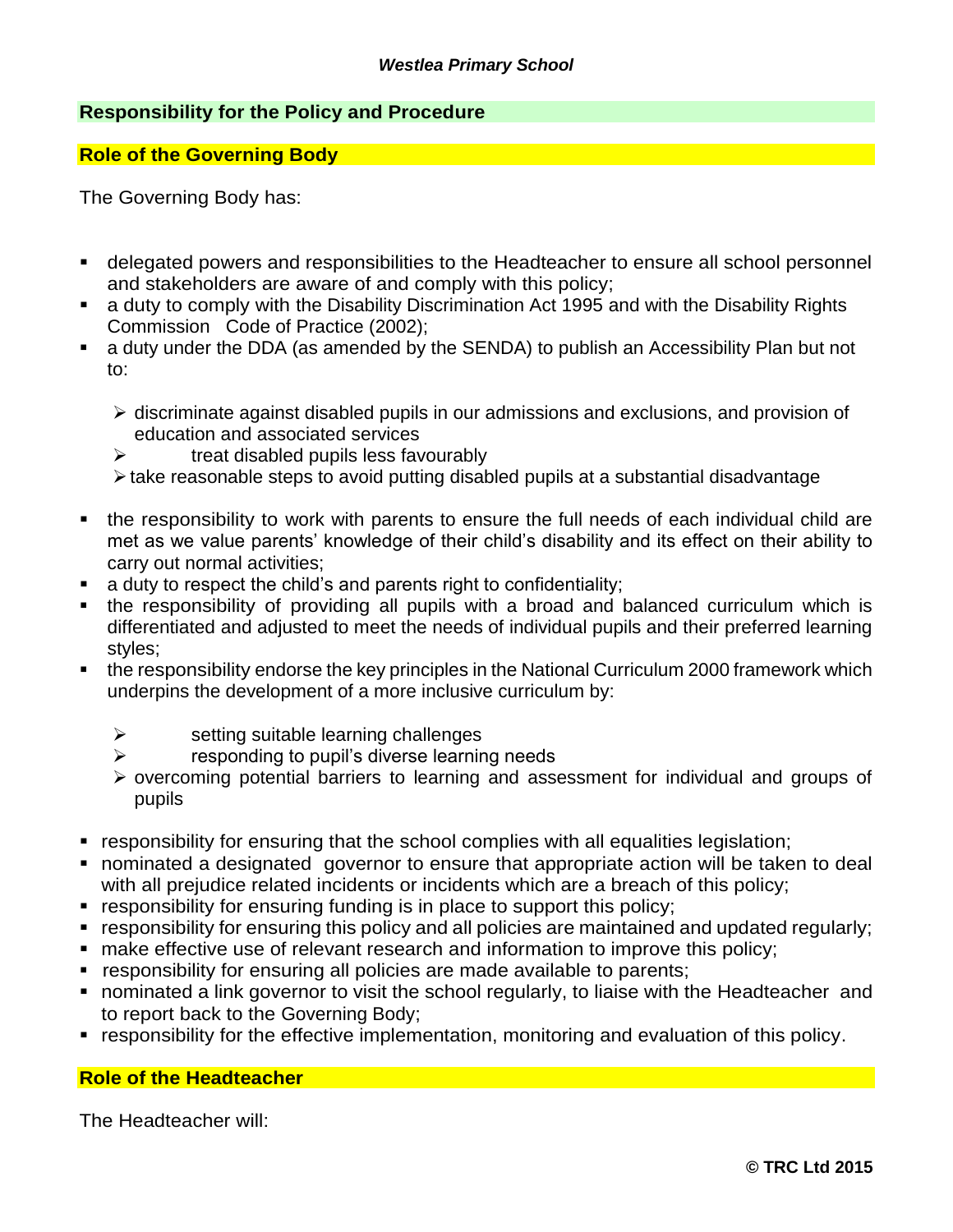#### **Responsibility for the Policy and Procedure**

#### **Role of the Governing Body**

The Governing Body has:

- delegated powers and responsibilities to the Headteacher to ensure all school personnel and stakeholders are aware of and comply with this policy;
- a duty to comply with the Disability Discrimination Act 1995 and with the Disability Rights Commission Code of Practice (2002);
- a duty under the DDA (as amended by the SENDA) to publish an Accessibility Plan but not to:
	- ➢ discriminate against disabled pupils in our admissions and exclusions, and provision of education and associated services
	- $\triangleright$  treat disabled pupils less favourably
	- ➢take reasonable steps to avoid putting disabled pupils at a substantial disadvantage
- the responsibility to work with parents to ensure the full needs of each individual child are met as we value parents' knowledge of their child's disability and its effect on their ability to carry out normal activities;
- a duty to respect the child's and parents right to confidentiality;
- the responsibility of providing all pupils with a broad and balanced curriculum which is differentiated and adjusted to meet the needs of individual pupils and their preferred learning styles;
- the responsibility endorse the key principles in the National Curriculum 2000 framework which underpins the development of a more inclusive curriculum by:
	- $\triangleright$  setting suitable learning challenges
	- $\triangleright$  responding to pupil's diverse learning needs
	- ➢ overcoming potential barriers to learning and assessment for individual and groups of pupils
- responsibility for ensuring that the school complies with all equalities legislation;
- **.** nominated a designated governor to ensure that appropriate action will be taken to deal with all prejudice related incidents or incidents which are a breach of this policy;
- responsibility for ensuring funding is in place to support this policy;
- responsibility for ensuring this policy and all policies are maintained and updated regularly;
- make effective use of relevant research and information to improve this policy;
- responsibility for ensuring all policies are made available to parents;
- nominated a link governor to visit the school regularly, to liaise with the Headteacher and to report back to the Governing Body;
- responsibility for the effective implementation, monitoring and evaluation of this policy.

#### **Role of the Headteacher**

The Headteacher will: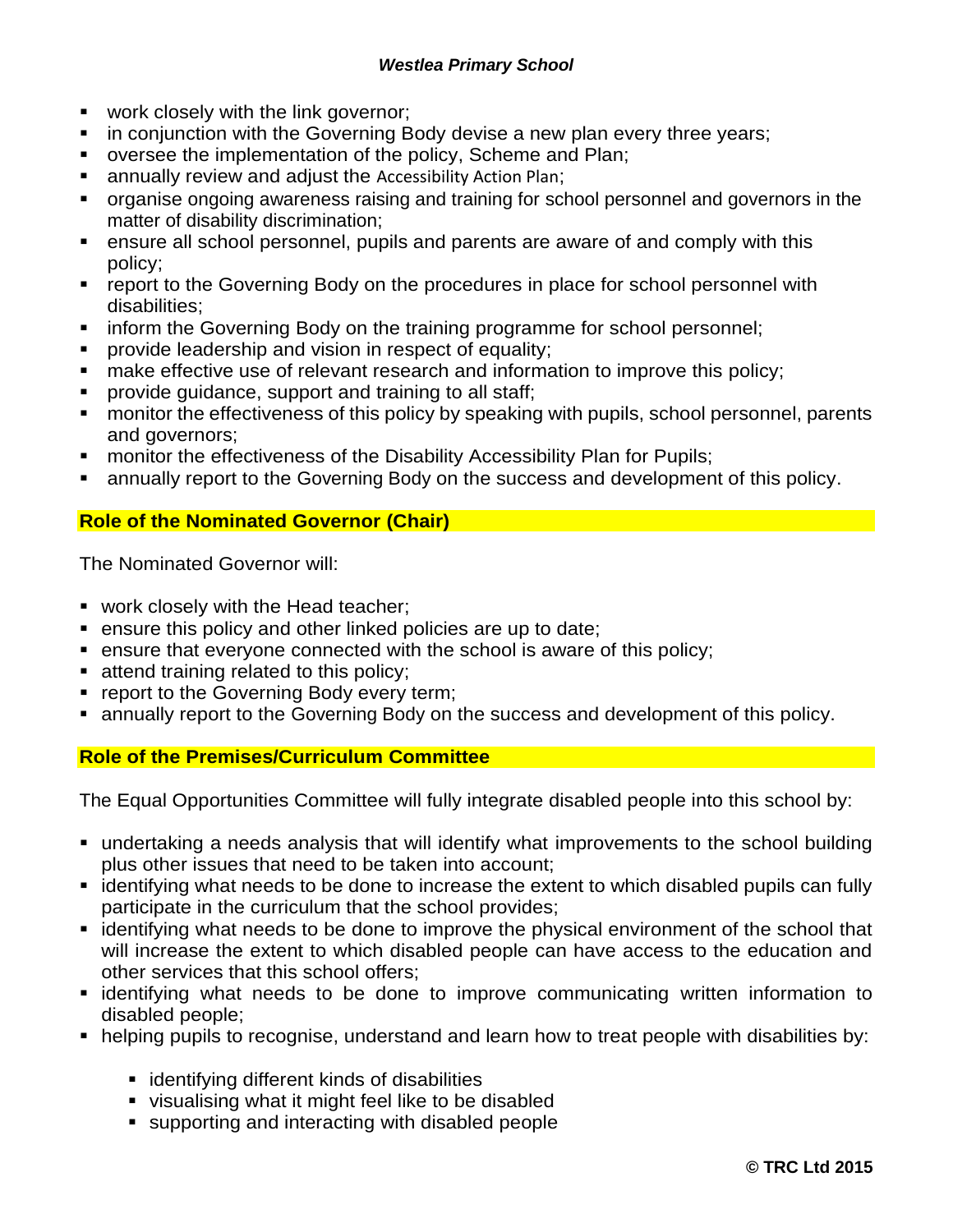- work closely with the link governor;
- in conjunction with the Governing Body devise a new plan every three years;
- oversee the implementation of the policy, Scheme and Plan;
- annually review and adjust the Accessibility Action Plan;
- organise ongoing awareness raising and training for school personnel and governors in the matter of disability discrimination;
- ensure all school personnel, pupils and parents are aware of and comply with this policy;
- report to the Governing Body on the procedures in place for school personnel with disabilities;
- inform the Governing Body on the training programme for school personnel;
- provide leadership and vision in respect of equality;
- make effective use of relevant research and information to improve this policy;
- **•** provide guidance, support and training to all staff;
- monitor the effectiveness of this policy by speaking with pupils, school personnel, parents and governors;
- monitor the effectiveness of the Disability Accessibility Plan for Pupils;
- annually report to the Governing Body on the success and development of this policy.

## **Role of the Nominated Governor (Chair)**

The Nominated Governor will:

- work closely with the Head teacher;
- ensure this policy and other linked policies are up to date;
- ensure that everyone connected with the school is aware of this policy;
- **E** attend training related to this policy;
- **report to the Governing Body every term;**
- annually report to the Governing Body on the success and development of this policy.

#### **Role of the Premises/Curriculum Committee**

The Equal Opportunities Committee will fully integrate disabled people into this school by:

- undertaking a needs analysis that will identify what improvements to the school building plus other issues that need to be taken into account;
- identifying what needs to be done to increase the extent to which disabled pupils can fully participate in the curriculum that the school provides;
- identifying what needs to be done to improve the physical environment of the school that will increase the extent to which disabled people can have access to the education and other services that this school offers;
- **Example 1** identifying what needs to be done to improve communicating written information to disabled people;
- helping pupils to recognise, understand and learn how to treat people with disabilities by:
	- identifying different kinds of disabilities
	- visualising what it might feel like to be disabled
	- supporting and interacting with disabled people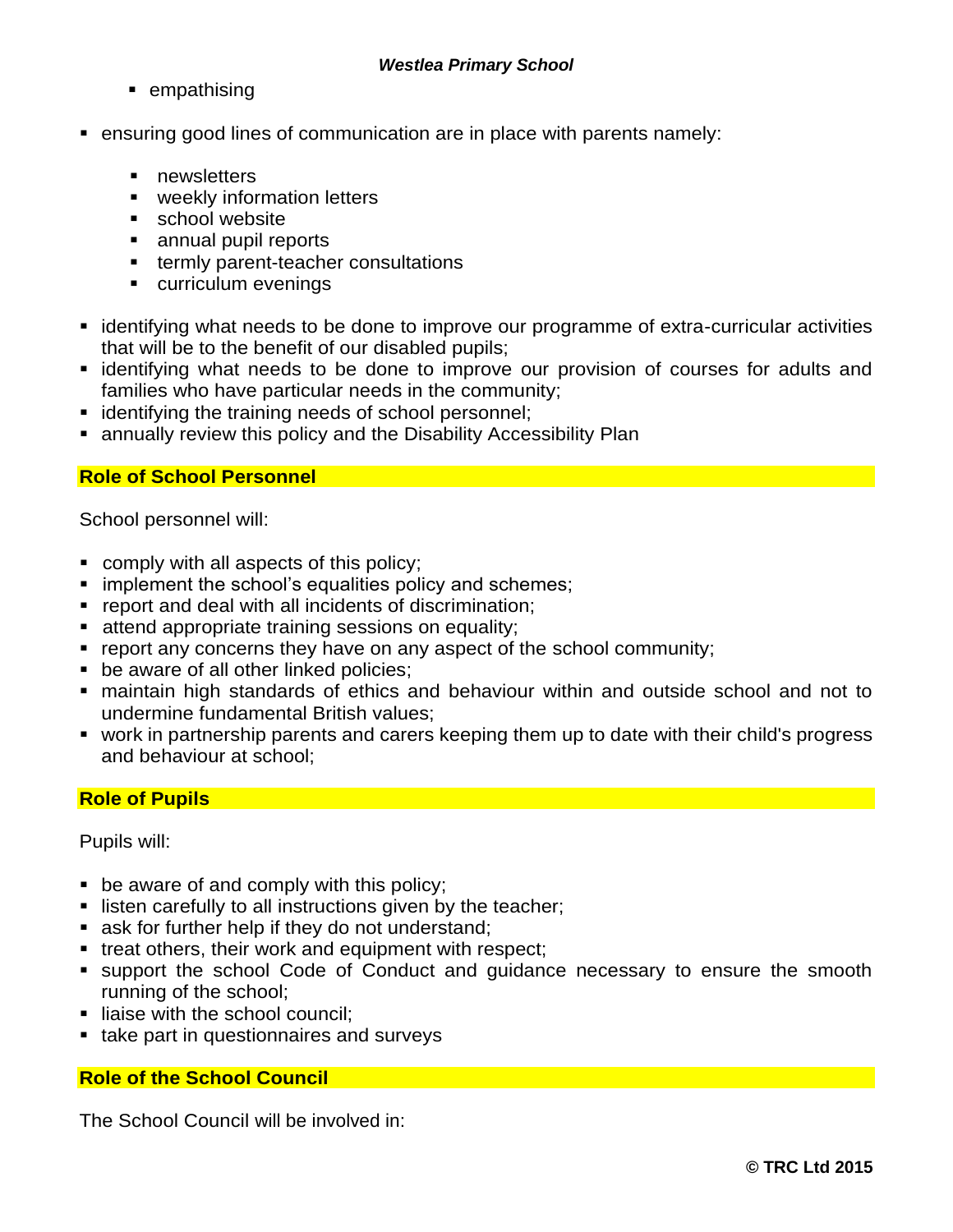- empathising
- ensuring good lines of communication are in place with parents namely:
	- newsletters
	- weekly information letters
	- school website
	- annual pupil reports
	- termly parent-teacher consultations
	- curriculum evenings
- identifying what needs to be done to improve our programme of extra-curricular activities that will be to the benefit of our disabled pupils;
- **Example 1** identifying what needs to be done to improve our provision of courses for adults and families who have particular needs in the community;
- identifying the training needs of school personnel;
- annually review this policy and the Disability Accessibility Plan

#### **Role of School Personnel**

School personnel will:

- comply with all aspects of this policy;
- **E** implement the school's equalities policy and schemes;
- report and deal with all incidents of discrimination;
- attend appropriate training sessions on equality;
- report any concerns they have on any aspect of the school community;
- be aware of all other linked policies;
- maintain high standards of ethics and behaviour within and outside school and not to undermine fundamental British values;
- work in partnership parents and carers keeping them up to date with their child's progress and behaviour at school;

#### **Role of Pupils**

Pupils will:

- $\blacksquare$  be aware of and comply with this policy;
- listen carefully to all instructions given by the teacher;
- ask for further help if they do not understand;
- treat others, their work and equipment with respect;
- support the school Code of Conduct and guidance necessary to ensure the smooth running of the school;
- **E** liaise with the school council:
- take part in questionnaires and surveys

### **Role of the School Council**

The School Council will be involved in: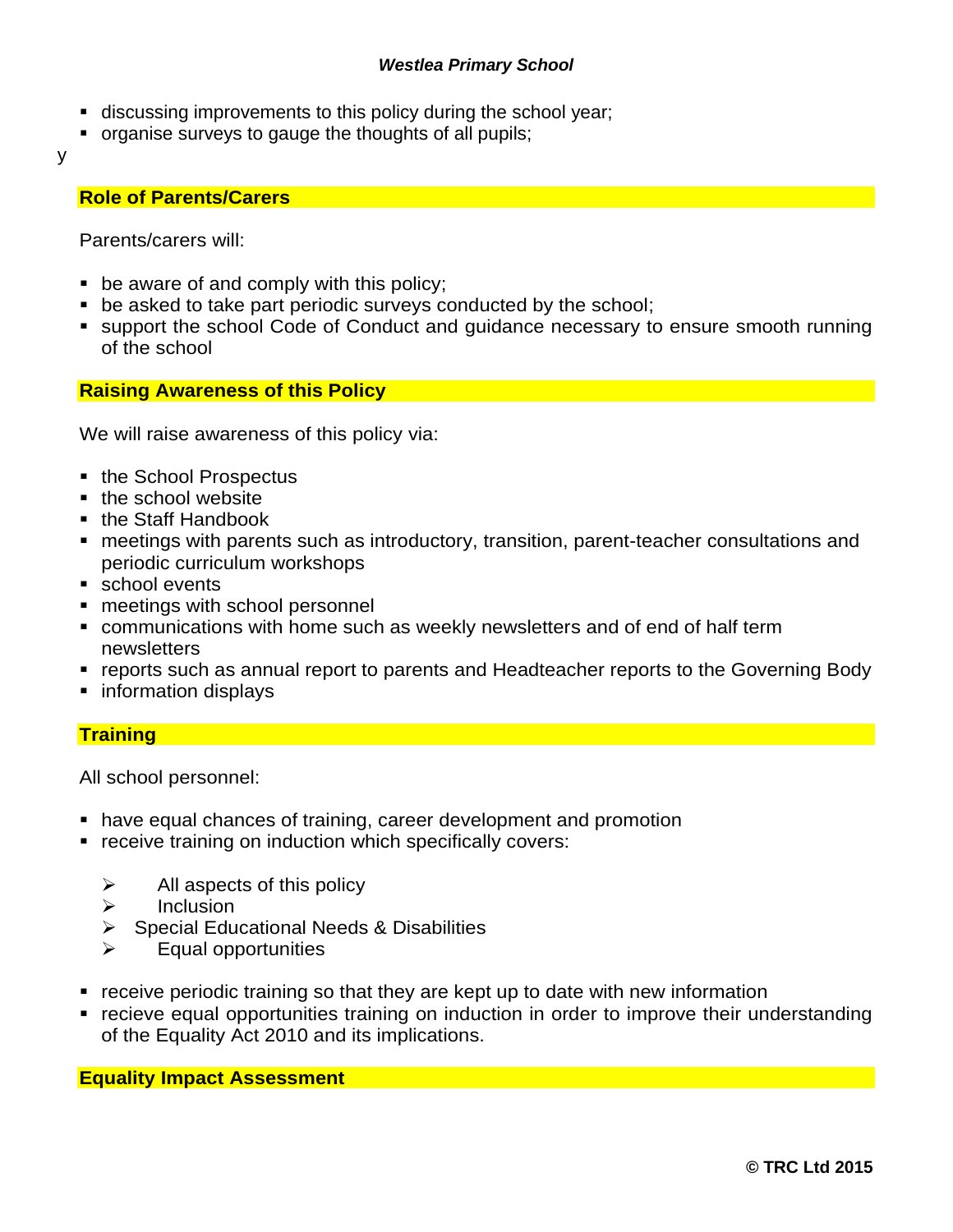- discussing improvements to this policy during the school year;
- organise surveys to gauge the thoughts of all pupils;
- y

#### **Role of Parents/Carers**

Parents/carers will:

- $\blacksquare$  be aware of and comply with this policy;
- be asked to take part periodic surveys conducted by the school;
- support the school Code of Conduct and guidance necessary to ensure smooth running of the school

#### **Raising Awareness of this Policy**

We will raise awareness of this policy via:

- the School Prospectus
- the school website
- the Staff Handbook
- meetings with parents such as introductory, transition, parent-teacher consultations and periodic curriculum workshops
- school events
- meetings with school personnel
- communications with home such as weekly newsletters and of end of half term newsletters
- reports such as annual report to parents and Headteacher reports to the Governing Body
- information displays

#### **Training**

All school personnel:

- have equal chances of training, career development and promotion
- receive training on induction which specifically covers:
	- $\triangleright$  All aspects of this policy
	- ➢ Inclusion
	- ➢ Special Educational Needs & Disabilities
	- ➢ Equal opportunities
- receive periodic training so that they are kept up to date with new information
- recieve equal opportunities training on induction in order to improve their understanding of the Equality Act 2010 and its implications.

**Equality Impact Assessment**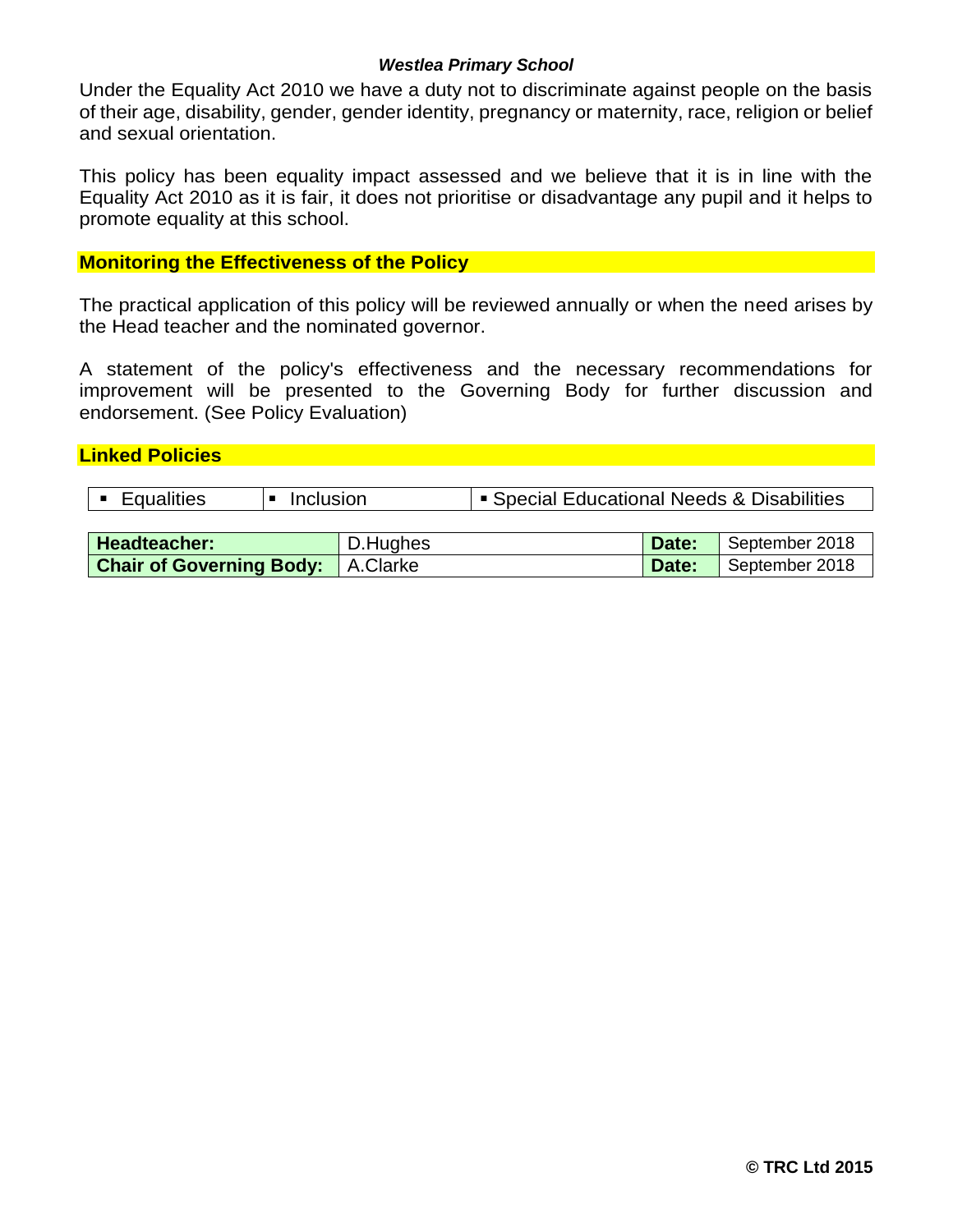Under the Equality Act 2010 we have a duty not to discriminate against people on the basis of their age, disability, gender, gender identity, pregnancy or maternity, race, religion or belief and sexual orientation.

This policy has been equality impact assessed and we believe that it is in line with the Equality Act 2010 as it is fair, it does not prioritise or disadvantage any pupil and it helps to promote equality at this school.

#### **Monitoring the Effectiveness of the Policy**

The practical application of this policy will be reviewed annually or when the need arises by the Head teacher and the nominated governor.

A statement of the policy's effectiveness and the necessary recommendations for improvement will be presented to the Governing Body for further discussion and endorsement. (See Policy Evaluation)

#### **Linked Policies**

|  | • Equalities | $\blacksquare$ Inclusion | Special Educational Needs & Disabilities |
|--|--------------|--------------------------|------------------------------------------|
|--|--------------|--------------------------|------------------------------------------|

| <b>Headteacher:</b>                      | D.Hughes | Date: | September 2018 |
|------------------------------------------|----------|-------|----------------|
| <b>Chair of Governing Body:</b> A.Clarke |          | Date: | September 2018 |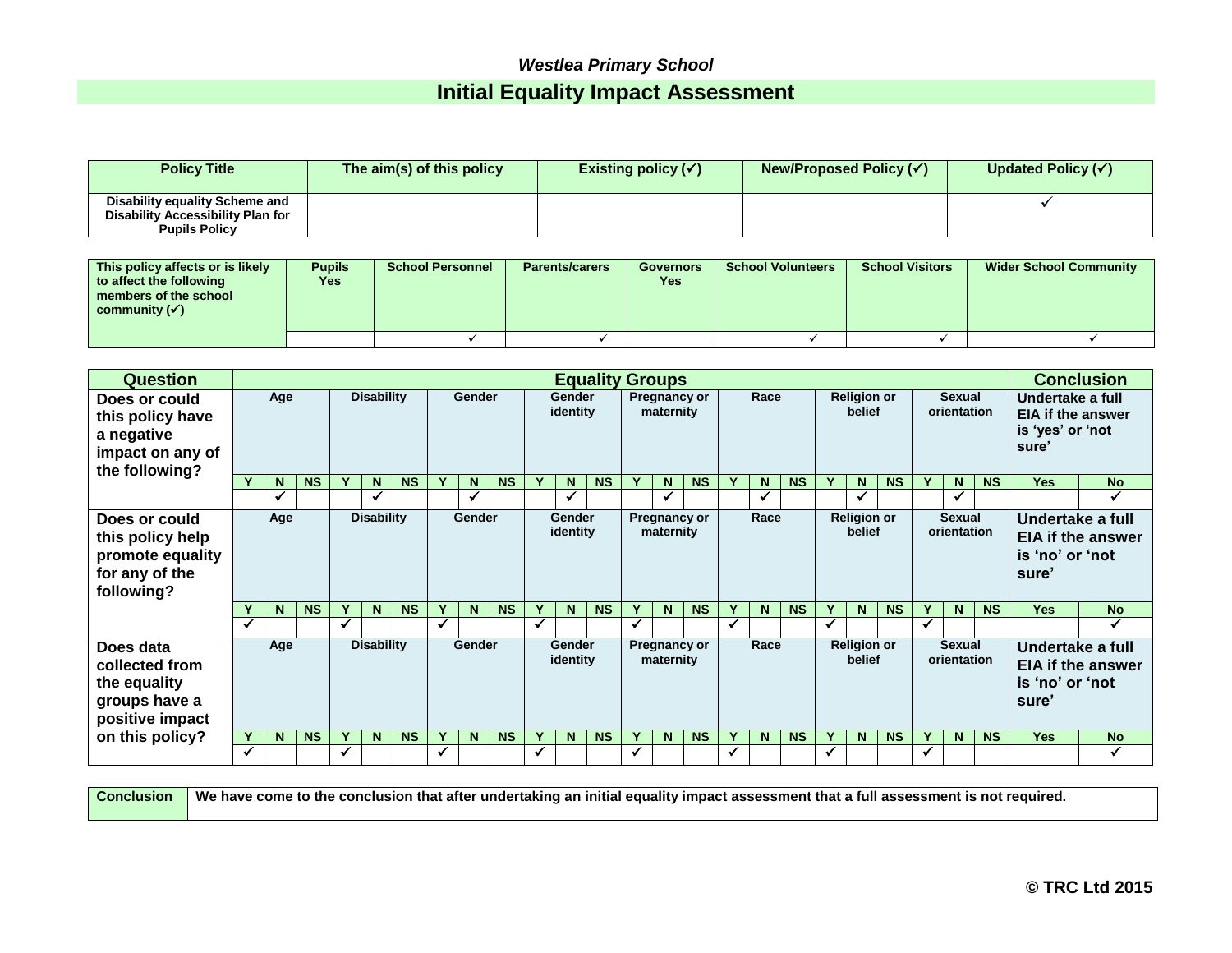# *Westlea Primary School* **Initial Equality Impact Assessment**

| <b>Policy Title</b>                                                                         | The aim(s) of this policy | Existing policy $(\checkmark)$ | New/Proposed Policy $(\checkmark)$ | Updated Policy $(\checkmark)$ |
|---------------------------------------------------------------------------------------------|---------------------------|--------------------------------|------------------------------------|-------------------------------|
| Disability equality Scheme and<br>Disability Accessibility Plan for<br><b>Pupils Policy</b> |                           |                                |                                    |                               |

| This policy affects or is likely<br>to affect the following<br>members of the school<br>community $(\checkmark)$ | <b>Pupils</b><br>Yes | <b>School Personnel</b> | <b>Parents/carers</b> | <b>Governors</b><br>Yes | <b>School Volunteers</b> | <b>School Visitors</b> | <b>Wider School Community</b> |
|------------------------------------------------------------------------------------------------------------------|----------------------|-------------------------|-----------------------|-------------------------|--------------------------|------------------------|-------------------------------|
|                                                                                                                  |                      |                         |                       |                         |                          |                        |                               |

| <b>Question</b>                                                                       |              | <b>Equality Groups</b> |                   |   |                   |                              |              |                                          |           |                              |                    |           |                              | <b>Conclusion</b>         |                    |                                              |                                  |           |              |                              |                              |   |                              |                              |                                              |                          |                                                                           |  |
|---------------------------------------------------------------------------------------|--------------|------------------------|-------------------|---|-------------------|------------------------------|--------------|------------------------------------------|-----------|------------------------------|--------------------|-----------|------------------------------|---------------------------|--------------------|----------------------------------------------|----------------------------------|-----------|--------------|------------------------------|------------------------------|---|------------------------------|------------------------------|----------------------------------------------|--------------------------|---------------------------------------------------------------------------|--|
| Does or could<br>this policy have<br>a negative<br>impact on any of<br>the following? | Age          |                        |                   |   |                   |                              |              |                                          |           |                              | <b>Disability</b>  |           | Gender                       |                           | Gender<br>identity |                                              | <b>Pregnancy or</b><br>maternity |           | Race         |                              | <b>Religion or</b><br>belief |   |                              | <b>Sexual</b><br>orientation |                                              |                          | Undertake a full<br><b>EIA if the answer</b><br>is 'yes' or 'not<br>sure' |  |
|                                                                                       |              | <b>N</b>               | <b>NS</b>         | v | N                 | <b>NS</b>                    | v.           | N                                        | <b>NS</b> |                              | N                  | <b>NS</b> | Y                            | N                         | <b>NS</b>          | Y                                            | N.                               | <b>NS</b> |              | N                            | <b>NS</b>                    | Y | N                            | <b>NS</b>                    | <b>Yes</b>                                   | <b>No</b>                |                                                                           |  |
|                                                                                       |              | $\checkmark$           |                   |   | ✔                 |                              |              |                                          |           |                              | ✓                  |           |                              |                           |                    |                                              | ✔                                |           |              | √                            |                              |   |                              |                              |                                              |                          |                                                                           |  |
| Does or could<br>this policy help<br>promote equality<br>for any of the<br>following? | Age          |                        | <b>Disability</b> |   |                   | Gender<br>Gender<br>identity |              | Race<br><b>Pregnancy or</b><br>maternity |           | <b>Religion or</b><br>belief |                    |           | <b>Sexual</b><br>orientation |                           |                    | Undertake a full<br>is 'no' or 'not<br>sure' | <b>EIA if the answer</b>         |           |              |                              |                              |   |                              |                              |                                              |                          |                                                                           |  |
|                                                                                       |              | N                      | <b>NS</b>         |   | N.                | <b>NS</b>                    |              | N.                                       | <b>NS</b> |                              | N.                 | <b>NS</b> | v                            | N                         | <b>NS</b>          | Y                                            | N                                | <b>NS</b> |              | N.                           | <b>NS</b>                    |   | N.                           | <b>NS</b>                    | <b>Yes</b>                                   | <b>No</b>                |                                                                           |  |
|                                                                                       | $\checkmark$ |                        |                   | ✓ |                   |                              | $\checkmark$ |                                          |           |                              |                    |           | $\checkmark$                 |                           |                    | $\checkmark$                                 |                                  |           | $\checkmark$ |                              |                              | ✓ |                              |                              |                                              | ✓                        |                                                                           |  |
| Does data<br>collected from<br>the equality<br>groups have a<br>positive impact       |              | Age                    |                   |   | <b>Disability</b> |                              |              | Gender                                   |           |                              | Gender<br>identity |           |                              | Pregnancy or<br>maternity |                    |                                              | Race                             |           |              | <b>Religion or</b><br>belief |                              |   | <b>Sexual</b><br>orientation |                              | Undertake a full<br>is 'no' or 'not<br>sure' | <b>EIA if the answer</b> |                                                                           |  |
| on this policy?                                                                       |              | N                      | <b>NS</b>         |   | N                 | <b>NS</b>                    |              | N                                        | <b>NS</b> |                              | N.                 | <b>NS</b> | Y                            | N                         | <b>NS</b>          | Y                                            | N                                | <b>NS</b> |              | N                            | <b>NS</b>                    |   | N                            | <b>NS</b>                    | <b>Yes</b>                                   | <b>No</b>                |                                                                           |  |
|                                                                                       | ✔            |                        |                   | ✓ |                   |                              | ✓            |                                          |           |                              |                    |           | ✓                            |                           |                    | ✓                                            |                                  |           | $\checkmark$ |                              |                              | ✓ |                              |                              |                                              | ✓                        |                                                                           |  |

|  | Conclusion Ne have come to the conclusion that after undertaking an initial equality impact assessment that a full assessment is not required. |
|--|------------------------------------------------------------------------------------------------------------------------------------------------|
|--|------------------------------------------------------------------------------------------------------------------------------------------------|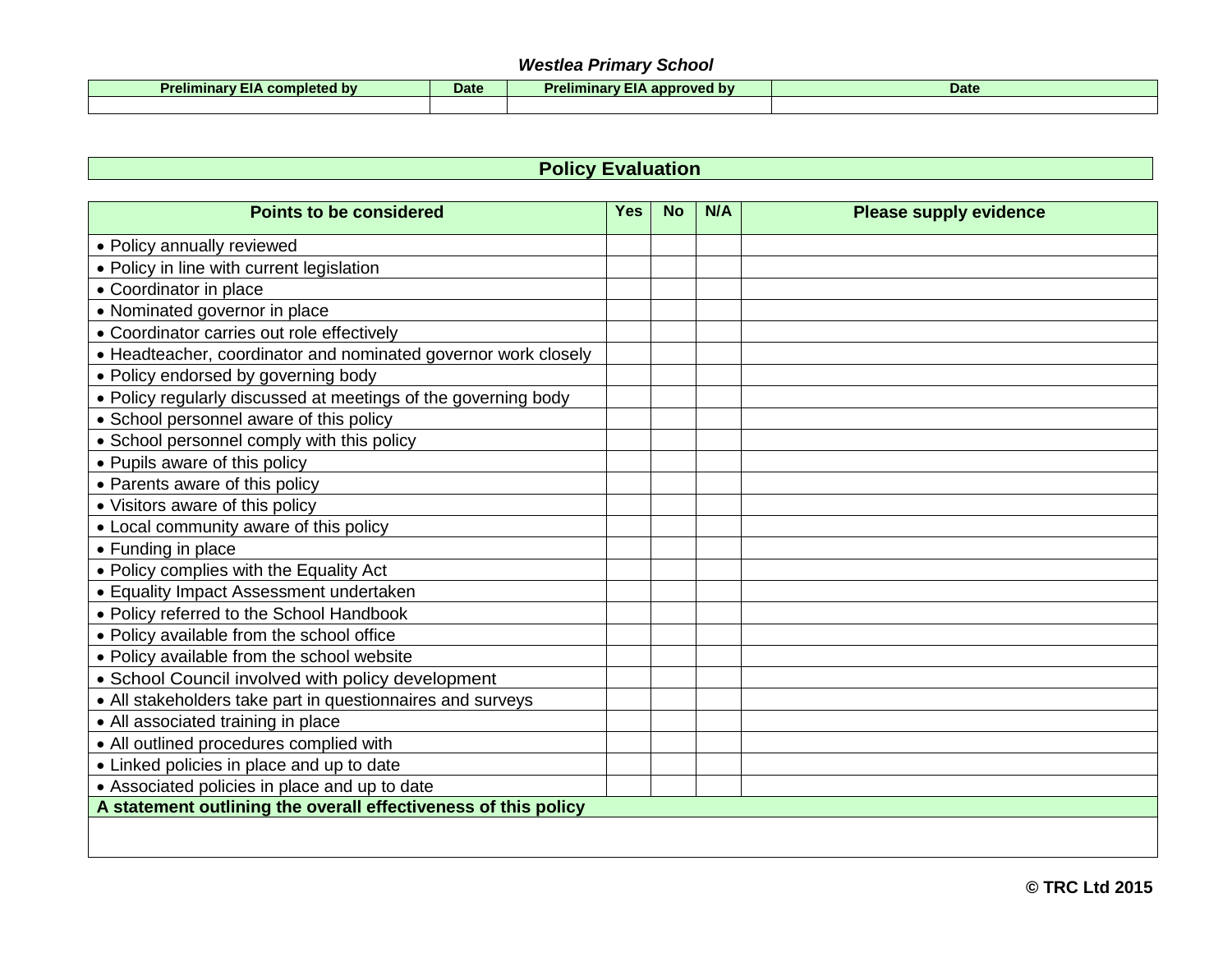| . .<br>Prelimina.<br><b>bv</b><br>completed<br>$-10-$ | Date | $-$<br><b>Preliminary,</b><br>annoved by<br>annr | Date |
|-------------------------------------------------------|------|--------------------------------------------------|------|
|                                                       |      |                                                  |      |

# **Policy Evaluation**

| <b>Points to be considered</b>                                 | <b>Yes</b> | <b>No</b> | N/A | <b>Please supply evidence</b> |
|----------------------------------------------------------------|------------|-----------|-----|-------------------------------|
| • Policy annually reviewed                                     |            |           |     |                               |
| • Policy in line with current legislation                      |            |           |     |                               |
| • Coordinator in place                                         |            |           |     |                               |
| • Nominated governor in place                                  |            |           |     |                               |
| • Coordinator carries out role effectively                     |            |           |     |                               |
| • Headteacher, coordinator and nominated governor work closely |            |           |     |                               |
| • Policy endorsed by governing body                            |            |           |     |                               |
| • Policy regularly discussed at meetings of the governing body |            |           |     |                               |
| • School personnel aware of this policy                        |            |           |     |                               |
| • School personnel comply with this policy                     |            |           |     |                               |
| • Pupils aware of this policy                                  |            |           |     |                               |
| • Parents aware of this policy                                 |            |           |     |                               |
| • Visitors aware of this policy                                |            |           |     |                               |
| • Local community aware of this policy                         |            |           |     |                               |
| • Funding in place                                             |            |           |     |                               |
| • Policy complies with the Equality Act                        |            |           |     |                               |
| • Equality Impact Assessment undertaken                        |            |           |     |                               |
| • Policy referred to the School Handbook                       |            |           |     |                               |
| • Policy available from the school office                      |            |           |     |                               |
| • Policy available from the school website                     |            |           |     |                               |
| • School Council involved with policy development              |            |           |     |                               |
| • All stakeholders take part in questionnaires and surveys     |            |           |     |                               |
| • All associated training in place                             |            |           |     |                               |
| • All outlined procedures complied with                        |            |           |     |                               |
| • Linked policies in place and up to date                      |            |           |     |                               |
| • Associated policies in place and up to date                  |            |           |     |                               |
| A statement outlining the overall effectiveness of this policy |            |           |     |                               |
|                                                                |            |           |     |                               |